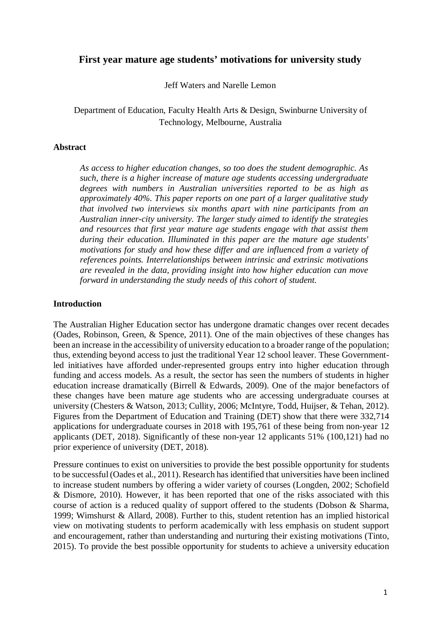# **First year mature age students' motivations for university study**

Jeff Waters and Narelle Lemon

Department of Education, Faculty Health Arts & Design, Swinburne University of Technology, Melbourne, Australia

#### **Abstract**

*As access to higher education changes, so too does the student demographic. As such, there is a higher increase of mature age students accessing undergraduate degrees with numbers in Australian universities reported to be as high as approximately 40%. This paper reports on one part of a larger qualitative study that involved two interviews six months apart with nine participants from an Australian inner-city university. The larger study aimed to identify the strategies and resources that first year mature age students engage with that assist them during their education. Illuminated in this paper are the mature age students' motivations for study and how these differ and are influenced from a variety of references points. Interrelationships between intrinsic and extrinsic motivations are revealed in the data, providing insight into how higher education can move forward in understanding the study needs of this cohort of student.*

#### **Introduction**

The Australian Higher Education sector has undergone dramatic changes over recent decades (Oades, Robinson, Green, & Spence, 2011). One of the main objectives of these changes has been an increase in the accessibility of university education to a broader range of the population; thus, extending beyond access to just the traditional Year 12 school leaver. These Governmentled initiatives have afforded under-represented groups entry into higher education through funding and access models. As a result, the sector has seen the numbers of students in higher education increase dramatically (Birrell & Edwards, 2009). One of the major benefactors of these changes have been mature age students who are accessing undergraduate courses at university (Chesters & Watson, 2013; Cullity, 2006; McIntyre, Todd, Huijser, & Tehan, 2012). Figures from the Department of Education and Training (DET) show that there were 332,714 applications for undergraduate courses in 2018 with 195,761 of these being from non-year 12 applicants (DET, 2018). Significantly of these non-year 12 applicants 51% (100,121) had no prior experience of university (DET, 2018).

Pressure continues to exist on universities to provide the best possible opportunity for students to be successful (Oades et al., 2011). Research has identified that universities have been inclined to increase student numbers by offering a wider variety of courses (Longden, 2002; Schofield & Dismore, 2010). However, it has been reported that one of the risks associated with this course of action is a reduced quality of support offered to the students (Dobson & Sharma, 1999; Wimshurst & Allard, 2008). Further to this, student retention has an implied historical view on motivating students to perform academically with less emphasis on student support and encouragement, rather than understanding and nurturing their existing motivations (Tinto, 2015). To provide the best possible opportunity for students to achieve a university education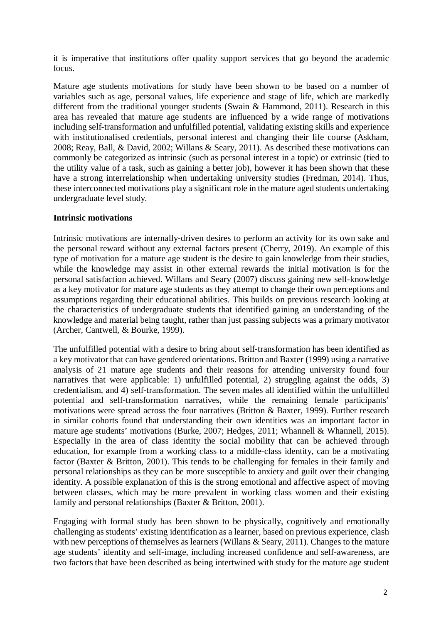it is imperative that institutions offer quality support services that go beyond the academic focus.

Mature age students motivations for study have been shown to be based on a number of variables such as age, personal values, life experience and stage of life, which are markedly different from the traditional younger students (Swain & Hammond, 2011). Research in this area has revealed that mature age students are influenced by a wide range of motivations including self-transformation and unfulfilled potential, validating existing skills and experience with institutionalised credentials, personal interest and changing their life course (Askham, 2008; Reay, Ball, & David, 2002; Willans & Seary, 2011). As described these motivations can commonly be categorized as intrinsic (such as personal interest in a topic) or extrinsic (tied to the utility value of a task, such as gaining a better job), however it has been shown that these have a strong interrelationship when undertaking university studies (Fredman, 2014). Thus, these interconnected motivations play a significant role in the mature aged students undertaking undergraduate level study.

## **Intrinsic motivations**

Intrinsic motivations are internally-driven desires to perform an activity for its own sake and the personal reward without any external factors present (Cherry, 2019). An example of this type of motivation for a mature age student is the desire to gain knowledge from their studies, while the knowledge may assist in other external rewards the initial motivation is for the personal satisfaction achieved. Willans and Seary (2007) discuss gaining new self-knowledge as a key motivator for mature age students as they attempt to change their own perceptions and assumptions regarding their educational abilities. This builds on previous research looking at the characteristics of undergraduate students that identified gaining an understanding of the knowledge and material being taught, rather than just passing subjects was a primary motivator (Archer, Cantwell, & Bourke, 1999).

The unfulfilled potential with a desire to bring about self-transformation has been identified as a key motivator that can have gendered orientations. Britton and Baxter (1999) using a narrative analysis of 21 mature age students and their reasons for attending university found four narratives that were applicable: 1) unfulfilled potential, 2) struggling against the odds, 3) credentialism, and 4) self-transformation. The seven males all identified within the unfulfilled potential and self-transformation narratives, while the remaining female participants' motivations were spread across the four narratives (Britton & Baxter, 1999). Further research in similar cohorts found that understanding their own identities was an important factor in mature age students' motivations (Burke, 2007; Hedges, 2011; Whannell & Whannell, 2015). Especially in the area of class identity the social mobility that can be achieved through education, for example from a working class to a middle-class identity, can be a motivating factor (Baxter & Britton, 2001). This tends to be challenging for females in their family and personal relationships as they can be more susceptible to anxiety and guilt over their changing identity. A possible explanation of this is the strong emotional and affective aspect of moving between classes, which may be more prevalent in working class women and their existing family and personal relationships (Baxter & Britton, 2001).

Engaging with formal study has been shown to be physically, cognitively and emotionally challenging as students' existing identification as a learner, based on previous experience, clash with new perceptions of themselves as learners (Willans & Seary, 2011). Changes to the mature age students' identity and self-image, including increased confidence and self-awareness, are two factors that have been described as being intertwined with study for the mature age student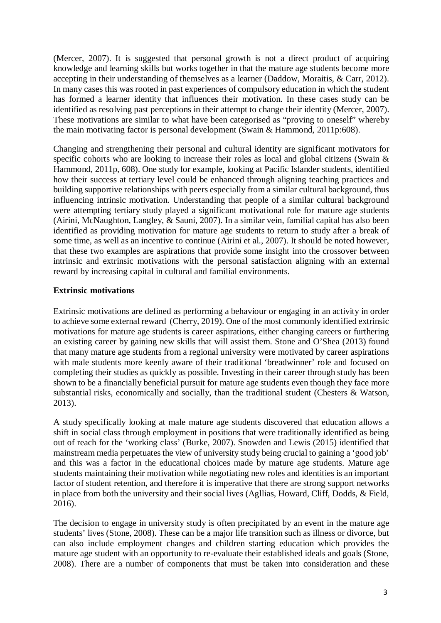(Mercer, 2007). It is suggested that personal growth is not a direct product of acquiring knowledge and learning skills but works together in that the mature age students become more accepting in their understanding of themselves as a learner (Daddow, Moraitis, & Carr, 2012). In many cases this was rooted in past experiences of compulsory education in which the student has formed a learner identity that influences their motivation. In these cases study can be identified as resolving past perceptions in their attempt to change their identity (Mercer, 2007). These motivations are similar to what have been categorised as "proving to oneself" whereby the main motivating factor is personal development (Swain & Hammond, 2011p:608).

Changing and strengthening their personal and cultural identity are significant motivators for specific cohorts who are looking to increase their roles as local and global citizens (Swain & Hammond, 2011p, 608). One study for example, looking at Pacific Islander students, identified how their success at tertiary level could be enhanced through aligning teaching practices and building supportive relationships with peers especially from a similar cultural background, thus influencing intrinsic motivation. Understanding that people of a similar cultural background were attempting tertiary study played a significant motivational role for mature age students (Airini, McNaughton, Langley, & Sauni, 2007). In a similar vein, familial capital has also been identified as providing motivation for mature age students to return to study after a break of some time, as well as an incentive to continue (Airini et al., 2007). It should be noted however, that these two examples are aspirations that provide some insight into the crossover between intrinsic and extrinsic motivations with the personal satisfaction aligning with an external reward by increasing capital in cultural and familial environments.

# **Extrinsic motivations**

Extrinsic motivations are defined as performing a behaviour or engaging in an activity in order to achieve some external reward (Cherry, 2019). One of the most commonly identified extrinsic motivations for mature age students is career aspirations, either changing careers or furthering an existing career by gaining new skills that will assist them. Stone and O'Shea (2013) found that many mature age students from a regional university were motivated by career aspirations with male students more keenly aware of their traditional 'breadwinner' role and focused on completing their studies as quickly as possible. Investing in their career through study has been shown to be a financially beneficial pursuit for mature age students even though they face more substantial risks, economically and socially, than the traditional student (Chesters & Watson, 2013).

A study specifically looking at male mature age students discovered that education allows a shift in social class through employment in positions that were traditionally identified as being out of reach for the 'working class' (Burke, 2007). Snowden and Lewis (2015) identified that mainstream media perpetuates the view of university study being crucial to gaining a 'good job' and this was a factor in the educational choices made by mature age students. Mature age students maintaining their motivation while negotiating new roles and identities is an important factor of student retention, and therefore it is imperative that there are strong support networks in place from both the university and their social lives (Agllias, Howard, Cliff, Dodds, & Field, 2016).

The decision to engage in university study is often precipitated by an event in the mature age students' lives (Stone, 2008). These can be a major life transition such as illness or divorce, but can also include employment changes and children starting education which provides the mature age student with an opportunity to re-evaluate their established ideals and goals (Stone, 2008). There are a number of components that must be taken into consideration and these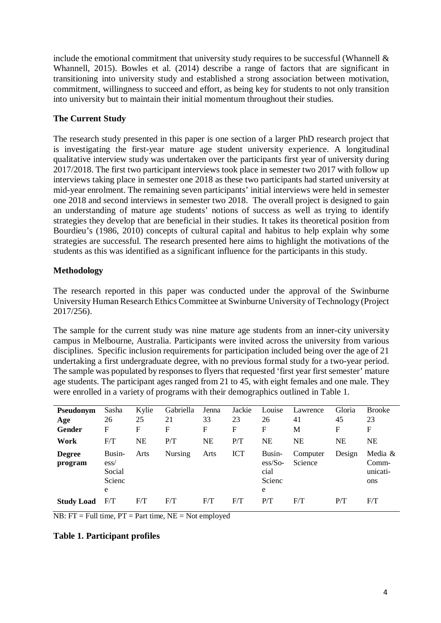include the emotional commitment that university study requires to be successful (Whannell & Whannell, 2015). Bowles et al. (2014) describe a range of factors that are significant in transitioning into university study and established a strong association between motivation, commitment, willingness to succeed and effort, as being key for students to not only transition into university but to maintain their initial momentum throughout their studies.

# **The Current Study**

The research study presented in this paper is one section of a larger PhD research project that is investigating the first-year mature age student university experience. A longitudinal qualitative interview study was undertaken over the participants first year of university during 2017/2018. The first two participant interviews took place in semester two 2017 with follow up interviews taking place in semester one 2018 as these two participants had started university at mid-year enrolment. The remaining seven participants' initial interviews were held in semester one 2018 and second interviews in semester two 2018. The overall project is designed to gain an understanding of mature age students' notions of success as well as trying to identify strategies they develop that are beneficial in their studies. It takes its theoretical position from Bourdieu's (1986, 2010) concepts of cultural capital and habitus to help explain why some strategies are successful. The research presented here aims to highlight the motivations of the students as this was identified as a significant influence for the participants in this study.

# **Methodology**

The research reported in this paper was conducted under the approval of the Swinburne University Human Research Ethics Committee at Swinburne University of Technology (Project 2017/256).

The sample for the current study was nine mature age students from an inner-city university campus in Melbourne, Australia. Participants were invited across the university from various disciplines. Specific inclusion requirements for participation included being over the age of 21 undertaking a first undergraduate degree, with no previous formal study for a two-year period. The sample was populated by responses to flyers that requested 'first year first semester' mature age students. The participant ages ranged from 21 to 45, with eight females and one male. They were enrolled in a variety of programs with their demographics outlined in Table 1.

| Pseudonym                | Sasha                                            | Kylie     | Gabriella      | Jenna     | Jackie     | Louise                                                          | Lawrence            | Gloria | <b>Brooke</b>                       |
|--------------------------|--------------------------------------------------|-----------|----------------|-----------|------------|-----------------------------------------------------------------|---------------------|--------|-------------------------------------|
| Age                      | 26                                               | 25        | 21             | 33        | 23         | 26                                                              | 41                  | 45     | 23                                  |
| Gender                   | F                                                | F         | F              | F         | F          | F                                                               | М                   | F      | F                                   |
| Work                     | F/T                                              | <b>NE</b> | P/T            | <b>NE</b> | P/T        | NΕ                                                              | <b>NE</b>           | NE     | <b>NE</b>                           |
| <b>Degree</b><br>program | Busin-<br>$\text{ess}/$<br>Social<br>Scienc<br>e | Arts      | <b>Nursing</b> | Arts      | <b>ICT</b> | Busin-<br>$\frac{\text{ess}}{\text{So}}$<br>cial<br>Scienc<br>e | Computer<br>Science | Design | Media &<br>Comm-<br>unicati-<br>ons |
| <b>Study Load</b>        | F/T                                              | F/T       | F/T            | F/T       | F/T        | P/T                                                             | F/T                 | P/T    | F/T                                 |

 $\overline{NB: FT} = Full$  time,  $\overline{PT} = Part$  time,  $\overline{NE} = Not$  employed

#### **Table 1. Participant profiles**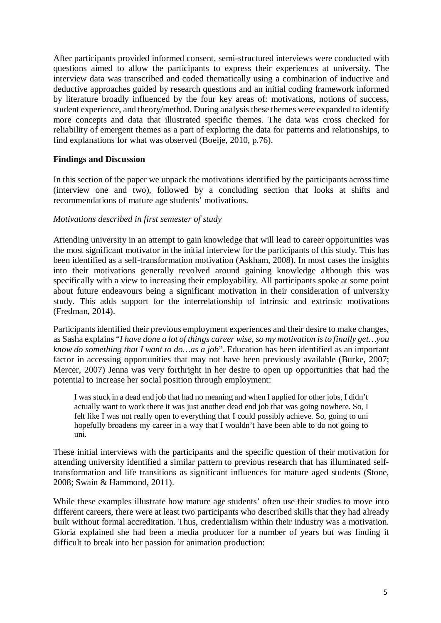After participants provided informed consent, semi-structured interviews were conducted with questions aimed to allow the participants to express their experiences at university. The interview data was transcribed and coded thematically using a combination of inductive and deductive approaches guided by research questions and an initial coding framework informed by literature broadly influenced by the four key areas of: motivations, notions of success, student experience, and theory/method. During analysis these themes were expanded to identify more concepts and data that illustrated specific themes. The data was cross checked for reliability of emergent themes as a part of exploring the data for patterns and relationships, to find explanations for what was observed (Boeije, 2010, p.76).

## **Findings and Discussion**

In this section of the paper we unpack the motivations identified by the participants across time (interview one and two), followed by a concluding section that looks at shifts and recommendations of mature age students' motivations.

## *Motivations described in first semester of study*

Attending university in an attempt to gain knowledge that will lead to career opportunities was the most significant motivator in the initial interview for the participants of this study. This has been identified as a self-transformation motivation (Askham, 2008). In most cases the insights into their motivations generally revolved around gaining knowledge although this was specifically with a view to increasing their employability. All participants spoke at some point about future endeavours being a significant motivation in their consideration of university study. This adds support for the interrelationship of intrinsic and extrinsic motivations (Fredman, 2014).

Participants identified their previous employment experiences and their desire to make changes, as Sasha explains "*I have done a lot of things career wise, so my motivation is to finally get…you know do something that I want to do…as a job*". Education has been identified as an important factor in accessing opportunities that may not have been previously available (Burke, 2007; Mercer, 2007) Jenna was very forthright in her desire to open up opportunities that had the potential to increase her social position through employment:

I was stuck in a dead end job that had no meaning and when I applied for other jobs, I didn't actually want to work there it was just another dead end job that was going nowhere. So, I felt like I was not really open to everything that I could possibly achieve. So, going to uni hopefully broadens my career in a way that I wouldn't have been able to do not going to uni.

These initial interviews with the participants and the specific question of their motivation for attending university identified a similar pattern to previous research that has illuminated selftransformation and life transitions as significant influences for mature aged students (Stone, 2008; Swain & Hammond, 2011).

While these examples illustrate how mature age students' often use their studies to move into different careers, there were at least two participants who described skills that they had already built without formal accreditation. Thus, credentialism within their industry was a motivation. Gloria explained she had been a media producer for a number of years but was finding it difficult to break into her passion for animation production: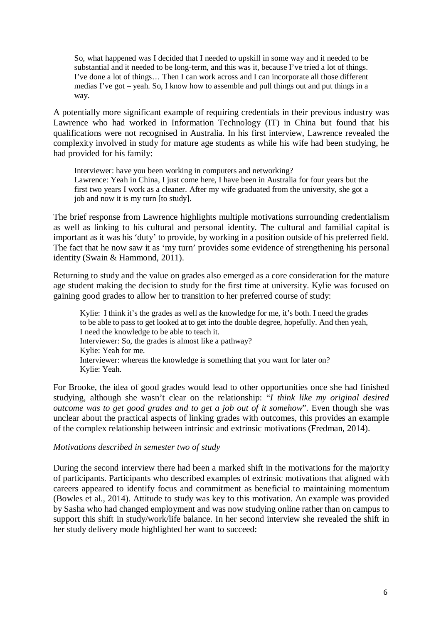So, what happened was I decided that I needed to upskill in some way and it needed to be substantial and it needed to be long-term, and this was it, because I've tried a lot of things. I've done a lot of things… Then I can work across and I can incorporate all those different medias I've got – yeah. So, I know how to assemble and pull things out and put things in a way.

A potentially more significant example of requiring credentials in their previous industry was Lawrence who had worked in Information Technology (IT) in China but found that his qualifications were not recognised in Australia. In his first interview, Lawrence revealed the complexity involved in study for mature age students as while his wife had been studying, he had provided for his family:

Interviewer: have you been working in computers and networking? Lawrence: Yeah in China, I just come here, I have been in Australia for four years but the first two years I work as a cleaner. After my wife graduated from the university, she got a job and now it is my turn [to study].

The brief response from Lawrence highlights multiple motivations surrounding credentialism as well as linking to his cultural and personal identity. The cultural and familial capital is important as it was his 'duty' to provide, by working in a position outside of his preferred field. The fact that he now saw it as 'my turn' provides some evidence of strengthening his personal identity (Swain & Hammond, 2011).

Returning to study and the value on grades also emerged as a core consideration for the mature age student making the decision to study for the first time at university. Kylie was focused on gaining good grades to allow her to transition to her preferred course of study:

Kylie: I think it's the grades as well as the knowledge for me, it's both. I need the grades to be able to pass to get looked at to get into the double degree, hopefully. And then yeah, I need the knowledge to be able to teach it. Interviewer: So, the grades is almost like a pathway? Kylie: Yeah for me. Interviewer: whereas the knowledge is something that you want for later on? Kylie: Yeah.

For Brooke, the idea of good grades would lead to other opportunities once she had finished studying, although she wasn't clear on the relationship: "*I think like my original desired outcome was to get good grades and to get a job out of it somehow*". Even though she was unclear about the practical aspects of linking grades with outcomes, this provides an example of the complex relationship between intrinsic and extrinsic motivations (Fredman, 2014).

#### *Motivations described in semester two of study*

During the second interview there had been a marked shift in the motivations for the majority of participants. Participants who described examples of extrinsic motivations that aligned with careers appeared to identify focus and commitment as beneficial to maintaining momentum (Bowles et al., 2014). Attitude to study was key to this motivation. An example was provided by Sasha who had changed employment and was now studying online rather than on campus to support this shift in study/work/life balance. In her second interview she revealed the shift in her study delivery mode highlighted her want to succeed: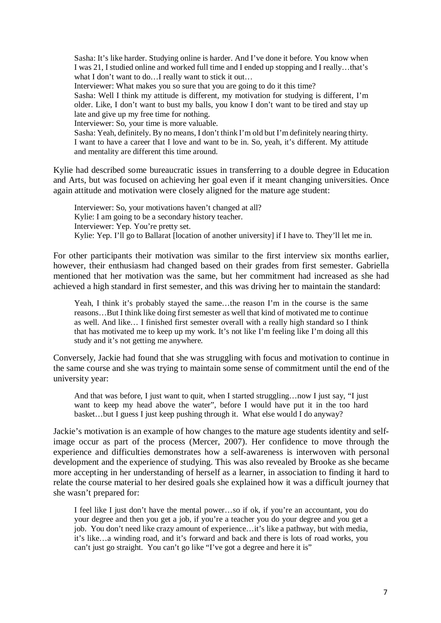Sasha: It's like harder. Studying online is harder. And I've done it before. You know when I was 21, I studied online and worked full time and I ended up stopping and I really…that's what I don't want to do...I really want to stick it out... Interviewer: What makes you so sure that you are going to do it this time? Sasha: Well I think my attitude is different, my motivation for studying is different, I'm older. Like, I don't want to bust my balls, you know I don't want to be tired and stay up late and give up my free time for nothing. Interviewer: So, your time is more valuable. Sasha: Yeah, definitely. By no means, I don't think I'm old but I'm definitely nearing thirty. I want to have a career that I love and want to be in. So, yeah, it's different. My attitude and mentality are different this time around.

Kylie had described some bureaucratic issues in transferring to a double degree in Education and Arts, but was focused on achieving her goal even if it meant changing universities. Once again attitude and motivation were closely aligned for the mature age student:

Interviewer: So, your motivations haven't changed at all? Kylie: I am going to be a secondary history teacher. Interviewer: Yep. You're pretty set. Kylie: Yep. I'll go to Ballarat [location of another university] if I have to. They'll let me in.

For other participants their motivation was similar to the first interview six months earlier, however, their enthusiasm had changed based on their grades from first semester. Gabriella mentioned that her motivation was the same, but her commitment had increased as she had achieved a high standard in first semester, and this was driving her to maintain the standard:

Yeah, I think it's probably stayed the same…the reason I'm in the course is the same reasons…But I think like doing first semester as well that kind of motivated me to continue as well. And like… I finished first semester overall with a really high standard so I think that has motivated me to keep up my work. It's not like I'm feeling like I'm doing all this study and it's not getting me anywhere.

Conversely, Jackie had found that she was struggling with focus and motivation to continue in the same course and she was trying to maintain some sense of commitment until the end of the university year:

And that was before, I just want to quit, when I started struggling…now I just say, "I just want to keep my head above the water", before I would have put it in the too hard basket…but I guess I just keep pushing through it. What else would I do anyway?

Jackie's motivation is an example of how changes to the mature age students identity and selfimage occur as part of the process (Mercer, 2007). Her confidence to move through the experience and difficulties demonstrates how a self-awareness is interwoven with personal development and the experience of studying. This was also revealed by Brooke as she became more accepting in her understanding of herself as a learner, in association to finding it hard to relate the course material to her desired goals she explained how it was a difficult journey that she wasn't prepared for:

I feel like I just don't have the mental power…so if ok, if you're an accountant, you do your degree and then you get a job, if you're a teacher you do your degree and you get a job. You don't need like crazy amount of experience…it's like a pathway, but with media, it's like…a winding road, and it's forward and back and there is lots of road works, you can't just go straight. You can't go like "I've got a degree and here it is"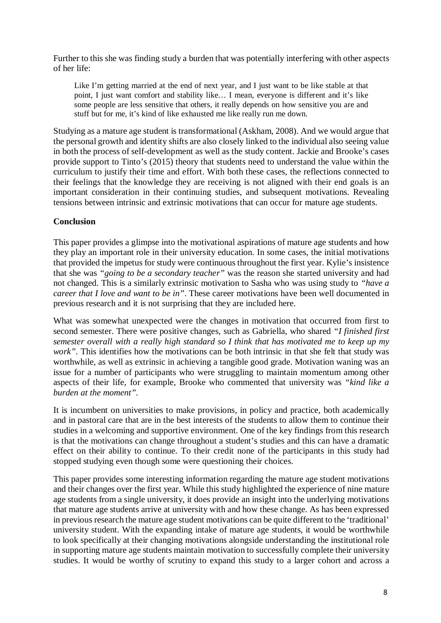Further to this she was finding study a burden that was potentially interfering with other aspects of her life:

Like I'm getting married at the end of next year, and I just want to be like stable at that point, I just want comfort and stability like… I mean, everyone is different and it's like some people are less sensitive that others, it really depends on how sensitive you are and stuff but for me, it's kind of like exhausted me like really run me down.

Studying as a mature age student is transformational (Askham, 2008). And we would argue that the personal growth and identity shifts are also closely linked to the individual also seeing value in both the process of self-development as well as the study content. Jackie and Brooke's cases provide support to Tinto's (2015) theory that students need to understand the value within the curriculum to justify their time and effort. With both these cases, the reflections connected to their feelings that the knowledge they are receiving is not aligned with their end goals is an important consideration in their continuing studies, and subsequent motivations. Revealing tensions between intrinsic and extrinsic motivations that can occur for mature age students.

# **Conclusion**

This paper provides a glimpse into the motivational aspirations of mature age students and how they play an important role in their university education. In some cases, the initial motivations that provided the impetus for study were continuous throughout the first year. Kylie's insistence that she was *"going to be a secondary teacher"* was the reason she started university and had not changed. This is a similarly extrinsic motivation to Sasha who was using study to *"have a career that I love and want to be in"*. These career motivations have been well documented in previous research and it is not surprising that they are included here.

What was somewhat unexpected were the changes in motivation that occurred from first to second semester. There were positive changes, such as Gabriella, who shared *"I finished first semester overall with a really high standard so I think that has motivated me to keep up my work".* This identifies how the motivations can be both intrinsic in that she felt that study was worthwhile, as well as extrinsic in achieving a tangible good grade. Motivation waning was an issue for a number of participants who were struggling to maintain momentum among other aspects of their life, for example, Brooke who commented that university was *"kind like a burden at the moment".* 

It is incumbent on universities to make provisions, in policy and practice, both academically and in pastoral care that are in the best interests of the students to allow them to continue their studies in a welcoming and supportive environment. One of the key findings from this research is that the motivations can change throughout a student's studies and this can have a dramatic effect on their ability to continue. To their credit none of the participants in this study had stopped studying even though some were questioning their choices.

This paper provides some interesting information regarding the mature age student motivations and their changes over the first year. While this study highlighted the experience of nine mature age students from a single university, it does provide an insight into the underlying motivations that mature age students arrive at university with and how these change. As has been expressed in previous research the mature age student motivations can be quite different to the 'traditional' university student. With the expanding intake of mature age students, it would be worthwhile to look specifically at their changing motivations alongside understanding the institutional role in supporting mature age students maintain motivation to successfully complete their university studies. It would be worthy of scrutiny to expand this study to a larger cohort and across a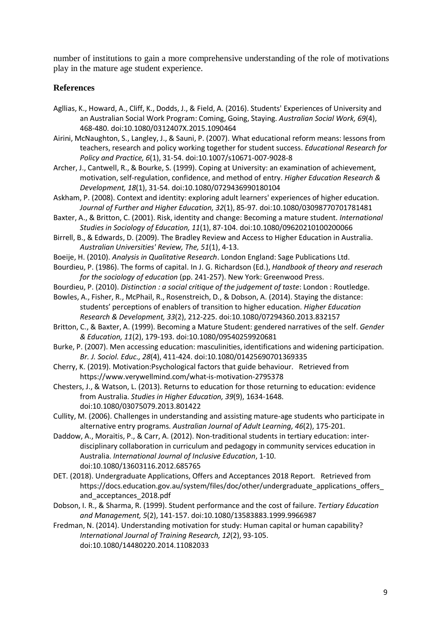number of institutions to gain a more comprehensive understanding of the role of motivations play in the mature age student experience.

### **References**

- Agllias, K., Howard, A., Cliff, K., Dodds, J., & Field, A. (2016). Students' Experiences of University and an Australian Social Work Program: Coming, Going, Staying. *Australian Social Work, 69*(4), 468-480. doi:10.1080/0312407X.2015.1090464
- Airini, McNaughton, S., Langley, J., & Sauni, P. (2007). What educational reform means: lessons from teachers, research and policy working together for student success. *Educational Research for Policy and Practice, 6*(1), 31-54. doi:10.1007/s10671-007-9028-8
- Archer, J., Cantwell, R., & Bourke, S. (1999). Coping at University: an examination of achievement, motivation, self-regulation, confidence, and method of entry. *Higher Education Research & Development, 18*(1), 31-54. doi:10.1080/0729436990180104
- Askham, P. (2008). Context and identity: exploring adult learners' experiences of higher education. *Journal of Further and Higher Education, 32*(1), 85-97. doi:10.1080/03098770701781481
- Baxter, A., & Britton, C. (2001). Risk, identity and change: Becoming a mature student. *International Studies in Sociology of Education, 11*(1), 87-104. doi:10.1080/09620210100200066
- Birrell, B., & Edwards, D. (2009). The Bradley Review and Access to Higher Education in Australia. *Australian Universities' Review, The, 51*(1), 4-13.
- Boeije, H. (2010). *Analysis in Qualitative Research*. London England: Sage Publications Ltd.
- Bourdieu, P. (1986). The forms of capital. In J. G. Richardson (Ed.), *Handbook of theory and reserach for the sociology of education* (pp. 241-257). New York: Greenwood Press.
- Bourdieu, P. (2010). *Distinction : a social critique of the judgement of taste*: London : Routledge.
- Bowles, A., Fisher, R., McPhail, R., Rosenstreich, D., & Dobson, A. (2014). Staying the distance: students' perceptions of enablers of transition to higher education. *Higher Education Research & Development, 33*(2), 212-225. doi:10.1080/07294360.2013.832157
- Britton, C., & Baxter, A. (1999). Becoming a Mature Student: gendered narratives of the self. *Gender & Education, 11*(2), 179-193. doi:10.1080/09540259920681
- Burke, P. (2007). Men accessing education: masculinities, identifications and widening participation. *Br. J. Sociol. Educ., 28*(4), 411-424. doi:10.1080/01425690701369335
- Cherry, K. (2019). Motivation:Psychological factors that guide behaviour. Retrieved from https://www.verywellmind.com/what-is-motivation-2795378
- Chesters, J., & Watson, L. (2013). Returns to education for those returning to education: evidence from Australia. *Studies in Higher Education, 39*(9), 1634-1648. doi:10.1080/03075079.2013.801422
- Cullity, M. (2006). Challenges in understanding and assisting mature-age students who participate in alternative entry programs. *Australian Journal of Adult Learning, 46*(2), 175-201.
- Daddow, A., Moraitis, P., & Carr, A. (2012). Non-traditional students in tertiary education: interdisciplinary collaboration in curriculum and pedagogy in community services education in Australia. *International Journal of Inclusive Education*, 1-10. doi:10.1080/13603116.2012.685765
- DET. (2018). Undergraduate Applications, Offers and Acceptances 2018 Report. Retrieved from https://docs.education.gov.au/system/files/doc/other/undergraduate\_applications\_offers\_ and acceptances 2018.pdf
- Dobson, I. R., & Sharma, R. (1999). Student performance and the cost of failure. *Tertiary Education and Management, 5*(2), 141-157. doi:10.1080/13583883.1999.9966987
- Fredman, N. (2014). Understanding motivation for study: Human capital or human capability? *International Journal of Training Research, 12*(2), 93-105. doi:10.1080/14480220.2014.11082033